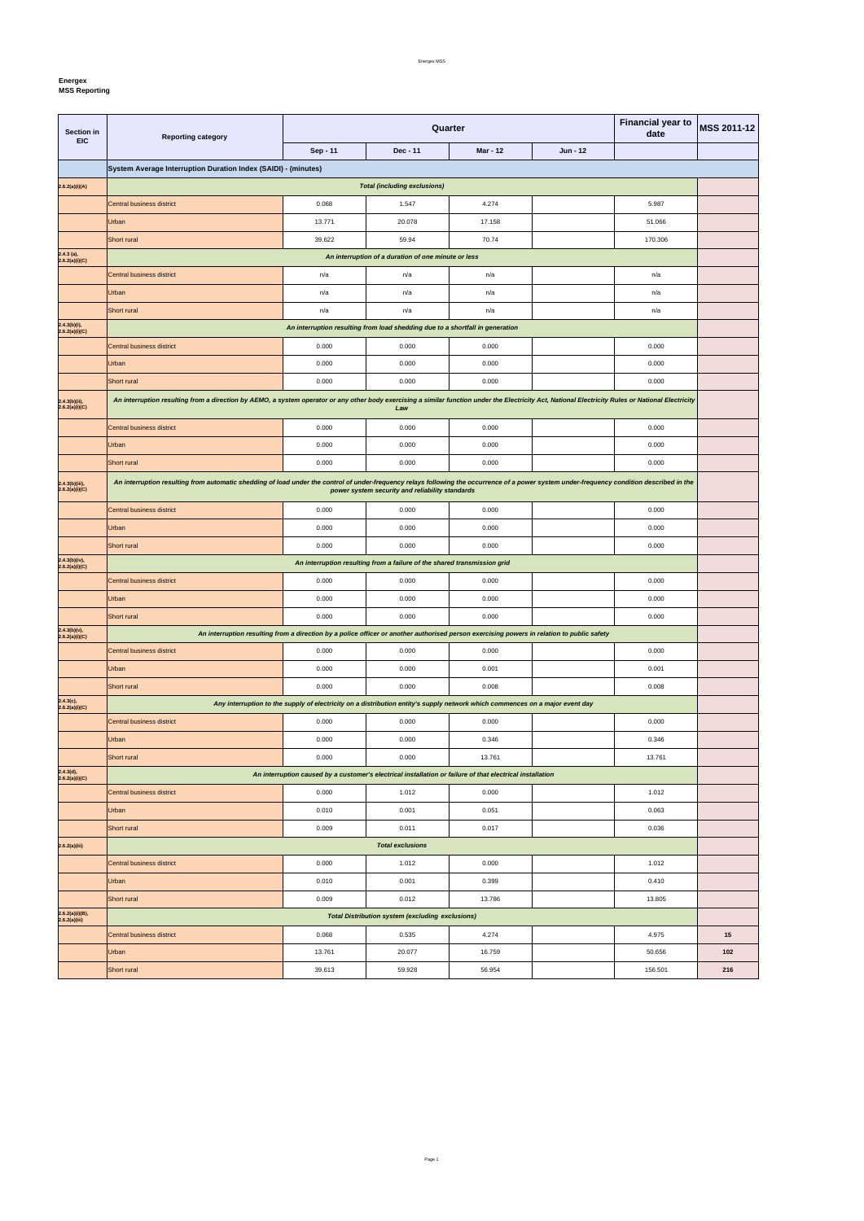٦

**Energex**

 $\mathbf{r}$ 

**MSS Reporting** 

| Section in<br><b>EIC</b>         | <b>Reporting category</b>                                                                                                                                                                           |          | Quarter                                                                                                                      | <b>Financial year to</b><br>date | MSS 2011-12 |         |     |  |
|----------------------------------|-----------------------------------------------------------------------------------------------------------------------------------------------------------------------------------------------------|----------|------------------------------------------------------------------------------------------------------------------------------|----------------------------------|-------------|---------|-----|--|
|                                  |                                                                                                                                                                                                     | Sep - 11 | Dec - 11                                                                                                                     | Mar - 12                         | Jun - 12    |         |     |  |
|                                  | System Average Interruption Duration Index (SAIDI) - (minutes)                                                                                                                                      |          |                                                                                                                              |                                  |             |         |     |  |
| 2.6.2(a)(i)(A)                   | <b>Total (including exclusions)</b>                                                                                                                                                                 |          |                                                                                                                              |                                  |             |         |     |  |
|                                  | Central business district                                                                                                                                                                           | 0.068    | 1.547                                                                                                                        | 4.274                            |             | 5.987   |     |  |
|                                  | Urban                                                                                                                                                                                               | 13.771   | 20.078                                                                                                                       | 17.158                           |             | 51.066  |     |  |
|                                  | Short rural                                                                                                                                                                                         | 39.622   | 59.94                                                                                                                        | 70.74                            |             | 170.306 |     |  |
| $2.4.3$ (a),<br>2.6.2(a)(i)(C)   |                                                                                                                                                                                                     |          | An interruption of a duration of one minute or less                                                                          |                                  |             |         |     |  |
|                                  | Central business district                                                                                                                                                                           | n/a      | n/a                                                                                                                          | n/a                              |             | n/a     |     |  |
|                                  | Urban                                                                                                                                                                                               | n/a      | n/a                                                                                                                          | n/a                              |             | n/a     |     |  |
|                                  | Short rural                                                                                                                                                                                         | n/a      | n/a                                                                                                                          | n/a                              |             | n/a     |     |  |
| 2.4.3(b)(i),<br>2.6.2(a)(i)(C)   |                                                                                                                                                                                                     |          | An interruption resulting from load shedding due to a shortfall in generation                                                |                                  |             |         |     |  |
|                                  | <b>Central business district</b>                                                                                                                                                                    | 0.000    | 0.000                                                                                                                        | 0.000                            |             | 0.000   |     |  |
|                                  | Urban                                                                                                                                                                                               | 0.000    | 0.000                                                                                                                        | 0.000                            |             | 0.000   |     |  |
|                                  | Short rural                                                                                                                                                                                         | 0.000    | 0.000                                                                                                                        | 0.000                            |             | 0.000   |     |  |
| 2.4.3(b)(ii),<br>2.6.2(a)(i)(C)  | An interruption resulting from a direction by AEMO, a system operator or any other body exercising a similar function under the Electricity Act, National Electricity Rules or National Electricity |          | Law                                                                                                                          |                                  |             |         |     |  |
|                                  | Central business district                                                                                                                                                                           | 0.000    | 0.000                                                                                                                        | 0.000                            |             | 0.000   |     |  |
|                                  | Urban                                                                                                                                                                                               | 0.000    | 0.000                                                                                                                        | 0.000                            |             | 0.000   |     |  |
|                                  | Short rural                                                                                                                                                                                         | 0.000    | 0.000                                                                                                                        | 0.000                            |             | 0.000   |     |  |
| 2.4.3(b)(iii),<br>2.6.2(a)(i)(C) | An interruption resulting from automatic shedding of load under the control of under-frequency relays following the occurrence of a power system under-frequency condition described in the         |          | power system security and reliability standards                                                                              |                                  |             |         |     |  |
|                                  | Central business district                                                                                                                                                                           | 0.000    | 0.000                                                                                                                        | 0.000                            |             | 0.000   |     |  |
|                                  | Urban                                                                                                                                                                                               | 0.000    | 0.000                                                                                                                        | 0.000                            |             | 0.000   |     |  |
|                                  | Short rural                                                                                                                                                                                         | 0.000    | 0.000                                                                                                                        | 0.000                            |             | 0.000   |     |  |
| 2.4.3(b)(iv),<br>2.6.2(a)(i)(C)  |                                                                                                                                                                                                     |          | An interruption resulting from a failure of the shared transmission grid                                                     |                                  |             |         |     |  |
|                                  | Central business district                                                                                                                                                                           | 0.000    | 0.000                                                                                                                        | 0.000                            |             | 0.000   |     |  |
|                                  | Urban                                                                                                                                                                                               | 0.000    | 0.000                                                                                                                        | 0.000                            |             | 0.000   |     |  |
|                                  | Short rural                                                                                                                                                                                         | 0.000    | 0.000                                                                                                                        | 0.000                            |             | 0.000   |     |  |
| 2.4.3(b)(v),<br>2.6.2(a)(i)(C)   | An interruption resulting from a direction by a police officer or another authorised person exercising powers in relation to public safety                                                          |          |                                                                                                                              |                                  |             |         |     |  |
|                                  | Central business district                                                                                                                                                                           | 0.000    | 0.000                                                                                                                        | 0.000                            |             | 0.000   |     |  |
|                                  | Urban                                                                                                                                                                                               | 0.000    | 0.000                                                                                                                        | 0.001                            |             | 0.001   |     |  |
|                                  | Short rural                                                                                                                                                                                         | 0.000    | 0.000                                                                                                                        | 0.008                            |             | 0.008   |     |  |
| 2.4.3(c),<br>2.6.2(a)(i)(C)      |                                                                                                                                                                                                     |          | Any interruption to the supply of electricity on a distribution entity's supply network which commences on a major event day |                                  |             |         |     |  |
|                                  | Central business district                                                                                                                                                                           | 0.000    | 0.000                                                                                                                        | 0.000                            |             | 0.000   |     |  |
|                                  | Urban                                                                                                                                                                                               | 0.000    | 0.000                                                                                                                        | 0.346                            |             | 0.346   |     |  |
|                                  | Short rural                                                                                                                                                                                         | 0.000    | 0.000                                                                                                                        | 13.761                           |             | 13.761  |     |  |
| 2.4.3(d),<br>2.6.2(a)(i)(C)      |                                                                                                                                                                                                     |          | An interruption caused by a customer's electrical installation or failure of that electrical installation                    |                                  |             |         |     |  |
|                                  | Central business district                                                                                                                                                                           | 0.000    | 1.012                                                                                                                        | 0.000                            |             | 1.012   |     |  |
|                                  | Urban                                                                                                                                                                                               | 0.010    | 0.001                                                                                                                        | 0.051                            |             | 0.063   |     |  |
|                                  | Short rural                                                                                                                                                                                         | 0.009    | 0.011                                                                                                                        | 0.017                            |             | 0.036   |     |  |
| 2.6.2(a)(iii)                    |                                                                                                                                                                                                     |          | <b>Total exclusions</b>                                                                                                      |                                  |             |         |     |  |
|                                  | Central business district                                                                                                                                                                           | 0.000    | 1.012                                                                                                                        | 0.000                            |             | 1.012   |     |  |
|                                  | Urban                                                                                                                                                                                               | 0.010    | 0.001                                                                                                                        | 0.399                            |             | 0.410   |     |  |
|                                  | Short rural                                                                                                                                                                                         | 0.009    | 0.012                                                                                                                        | 13.786                           |             | 13.805  |     |  |
| 2.6.2(a)(i)(B),<br>2.6.2(a)(iii) |                                                                                                                                                                                                     |          | <b>Total Distribution system (excluding exclusions)</b>                                                                      |                                  |             |         |     |  |
|                                  | Central business district                                                                                                                                                                           | 0.068    | 0.535                                                                                                                        | 4.274                            |             | 4.975   | 15  |  |
|                                  | Urban                                                                                                                                                                                               | 13.761   | 20.077                                                                                                                       | 16.759                           |             | 50.656  | 102 |  |
|                                  | Short rural                                                                                                                                                                                         | 39.613   | 59.928                                                                                                                       | 56.954                           |             | 156.501 | 216 |  |

Page 1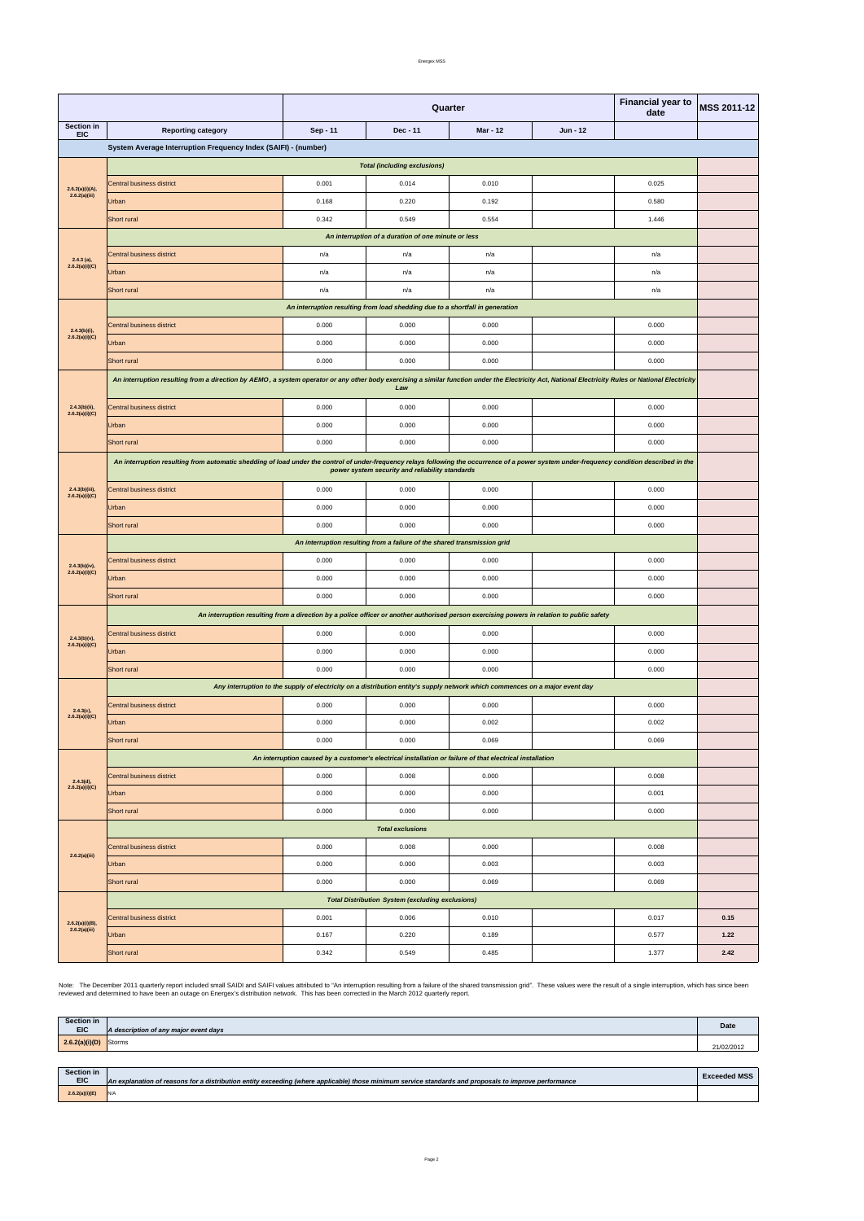Energex MSS

| $2.6.2(a)(i)(B),$<br>$2.6.2(a)(iii)$ | Urban<br>Short rural | 0.167<br>0.342 | 0.220<br>0.549 | 0.189<br>0.485 | 0.577<br>1.377 | 1.22<br>2.42 |
|--------------------------------------|----------------------|----------------|----------------|----------------|----------------|--------------|
|                                      |                      |                |                |                |                |              |

Note: The December 2011 quarterly report included small SAIDI and SAIFI values attributed to "An interruption resulting from a failure of the shared transmission grid". These values were the result of a single interruption

|                                     | <b>Financial year to</b><br>Quarter<br>date                                                                                                                                                                                                    |            |                                                                               | <b>MSS 2011-12</b>                                                                                                           |          |       |      |  |
|-------------------------------------|------------------------------------------------------------------------------------------------------------------------------------------------------------------------------------------------------------------------------------------------|------------|-------------------------------------------------------------------------------|------------------------------------------------------------------------------------------------------------------------------|----------|-------|------|--|
| Section in<br><b>EIC</b>            | <b>Reporting category</b>                                                                                                                                                                                                                      | $Sep - 11$ | Dec - 11                                                                      | <b>Mar - 12</b>                                                                                                              | Jun - 12 |       |      |  |
|                                     | System Average Interruption Frequency Index (SAIFI) - (number)                                                                                                                                                                                 |            |                                                                               |                                                                                                                              |          |       |      |  |
| <b>Total (including exclusions)</b> |                                                                                                                                                                                                                                                |            |                                                                               |                                                                                                                              |          |       |      |  |
| 2.6.2(a)(i)(A),                     | Central business district                                                                                                                                                                                                                      | 0.001      | 0.014                                                                         | 0.010                                                                                                                        |          | 0.025 |      |  |
| 2.6.2(a)(iii)                       | Urban                                                                                                                                                                                                                                          | 0.168      | 0.220                                                                         | 0.192                                                                                                                        |          | 0.580 |      |  |
|                                     | Short rural                                                                                                                                                                                                                                    | 0.342      | 0.549                                                                         | 0.554                                                                                                                        |          | 1.446 |      |  |
|                                     |                                                                                                                                                                                                                                                |            | An interruption of a duration of one minute or less                           |                                                                                                                              |          |       |      |  |
| $2.4.3$ (a),                        | <b>Central business district</b>                                                                                                                                                                                                               | n/a        | n/a                                                                           | n/a                                                                                                                          |          | n/a   |      |  |
| 2.6.2(a)(i)(C)                      | Urban                                                                                                                                                                                                                                          | n/a        | n/a                                                                           | n/a                                                                                                                          |          | n/a   |      |  |
|                                     | Short rural                                                                                                                                                                                                                                    | n/a        | n/a                                                                           | n/a                                                                                                                          |          | n/a   |      |  |
|                                     |                                                                                                                                                                                                                                                |            | An interruption resulting from load shedding due to a shortfall in generation |                                                                                                                              |          |       |      |  |
| $2.4.3(b)(i)$ ,                     | Central business district                                                                                                                                                                                                                      | 0.000      | 0.000                                                                         | 0.000                                                                                                                        |          | 0.000 |      |  |
| 2.6.2(a)(i)(C)                      | Urban                                                                                                                                                                                                                                          | 0.000      | 0.000                                                                         | 0.000                                                                                                                        |          | 0.000 |      |  |
|                                     | Short rural                                                                                                                                                                                                                                    | 0.000      | 0.000                                                                         | 0.000                                                                                                                        |          | 0.000 |      |  |
|                                     | An interruption resulting from a direction by AEMO, a system operator or any other body exercising a similar function under the Electricity Act, National Electricity Rules or National Electricity                                            |            | Law                                                                           |                                                                                                                              |          |       |      |  |
| $2.4.3(b)(ii)$ ,<br>2.6.2(a)(i)(C)  | <b>Central business district</b>                                                                                                                                                                                                               | 0.000      | 0.000                                                                         | 0.000                                                                                                                        |          | 0.000 |      |  |
|                                     | Urban                                                                                                                                                                                                                                          | 0.000      | 0.000                                                                         | 0.000                                                                                                                        |          | 0.000 |      |  |
|                                     | Short rural                                                                                                                                                                                                                                    | 0.000      | 0.000                                                                         | 0.000                                                                                                                        |          | 0.000 |      |  |
|                                     | An interruption resulting from automatic shedding of load under the control of under-frequency relays following the occurrence of a power system under-frequency condition described in the<br>power system security and reliability standards |            |                                                                               |                                                                                                                              |          |       |      |  |
| 2.4.3(b)(iii),<br>2.6.2(a)(i)(C)    | Central business district                                                                                                                                                                                                                      | 0.000      | 0.000                                                                         | 0.000                                                                                                                        |          | 0.000 |      |  |
|                                     | Urban                                                                                                                                                                                                                                          | 0.000      | 0.000                                                                         | 0.000                                                                                                                        |          | 0.000 |      |  |
|                                     | Short rural                                                                                                                                                                                                                                    | 0.000      | 0.000                                                                         | 0.000                                                                                                                        |          | 0.000 |      |  |
|                                     | An interruption resulting from a failure of the shared transmission grid                                                                                                                                                                       |            |                                                                               |                                                                                                                              |          |       |      |  |
| $2.4.3(b)(iv)$ ,<br>2.6.2(a)(i)(C)  | Central business district                                                                                                                                                                                                                      | 0.000      | 0.000                                                                         | 0.000                                                                                                                        |          | 0.000 |      |  |
|                                     | Urban                                                                                                                                                                                                                                          | 0.000      | 0.000                                                                         | 0.000                                                                                                                        |          | 0.000 |      |  |
|                                     | Short rural                                                                                                                                                                                                                                    | 0.000      | 0.000                                                                         | 0.000                                                                                                                        |          | 0.000 |      |  |
|                                     | An interruption resulting from a direction by a police officer or another authorised person exercising powers in relation to public safety                                                                                                     |            |                                                                               |                                                                                                                              |          |       |      |  |
| $2.4.3(b)(v)$ ,<br>2.6.2(a)(i)(C)   | Central business district                                                                                                                                                                                                                      | 0.000      | 0.000                                                                         | 0.000                                                                                                                        |          | 0.000 |      |  |
|                                     | Urban                                                                                                                                                                                                                                          | 0.000      | 0.000                                                                         | 0.000                                                                                                                        |          | 0.000 |      |  |
|                                     | Short rural                                                                                                                                                                                                                                    | 0.000      | 0.000                                                                         | 0.000                                                                                                                        |          | 0.000 |      |  |
|                                     |                                                                                                                                                                                                                                                |            |                                                                               | Any interruption to the supply of electricity on a distribution entity's supply network which commences on a major event day |          |       |      |  |
| $2.4.3(c)$ ,                        | Central business district                                                                                                                                                                                                                      | 0.000      | 0.000                                                                         | 0.000                                                                                                                        |          | 0.000 |      |  |
| 2.6.2(a)(i)(C)                      | Urban                                                                                                                                                                                                                                          | 0.000      | 0.000                                                                         | 0.002                                                                                                                        |          | 0.002 |      |  |
|                                     | Short rural                                                                                                                                                                                                                                    | 0.000      | 0.000                                                                         | 0.069                                                                                                                        |          | 0.069 |      |  |
|                                     |                                                                                                                                                                                                                                                |            |                                                                               | An interruption caused by a customer's electrical installation or failure of that electrical installation                    |          |       |      |  |
| 2.4.3(d),<br>2.6.2(a)(i)(C)         | Central business district                                                                                                                                                                                                                      | 0.000      | 0.008                                                                         | 0.000                                                                                                                        |          | 0.008 |      |  |
|                                     | Urban                                                                                                                                                                                                                                          | 0.000      | 0.000                                                                         | 0.000                                                                                                                        |          | 0.001 |      |  |
|                                     | Short rural                                                                                                                                                                                                                                    | 0.000      | 0.000                                                                         | 0.000                                                                                                                        |          | 0.000 |      |  |
|                                     |                                                                                                                                                                                                                                                |            | <b>Total exclusions</b>                                                       |                                                                                                                              |          |       |      |  |
| 2.6.2(a)(iii)                       | Central business district                                                                                                                                                                                                                      | 0.000      | 0.008                                                                         | 0.000                                                                                                                        |          | 0.008 |      |  |
|                                     | Urban                                                                                                                                                                                                                                          | 0.000      | 0.000                                                                         | 0.003                                                                                                                        |          | 0.003 |      |  |
|                                     | Short rural                                                                                                                                                                                                                                    | 0.000      | 0.000                                                                         | 0.069                                                                                                                        |          | 0.069 |      |  |
|                                     |                                                                                                                                                                                                                                                |            | <b>Total Distribution System (excluding exclusions)</b>                       |                                                                                                                              |          |       |      |  |
|                                     | Central business district                                                                                                                                                                                                                      | 0.001      | 0.006                                                                         | 0.010                                                                                                                        |          | 0.017 | 0.15 |  |

| Section in     | A description of any major event days | Date       |
|----------------|---------------------------------------|------------|
| 2.6.2(a)(i)(D) | Storms                                | 21/02/2012 |

| Section in<br><b>EIC</b> | An explanation of reasons for a distribution entity exceeding (where applicable) those minimum service standards and proposals to improve performance | <b>Exceeded MSS</b> |
|--------------------------|-------------------------------------------------------------------------------------------------------------------------------------------------------|---------------------|
| 2.6.2(a)(i)(E            |                                                                                                                                                       |                     |

Page 2